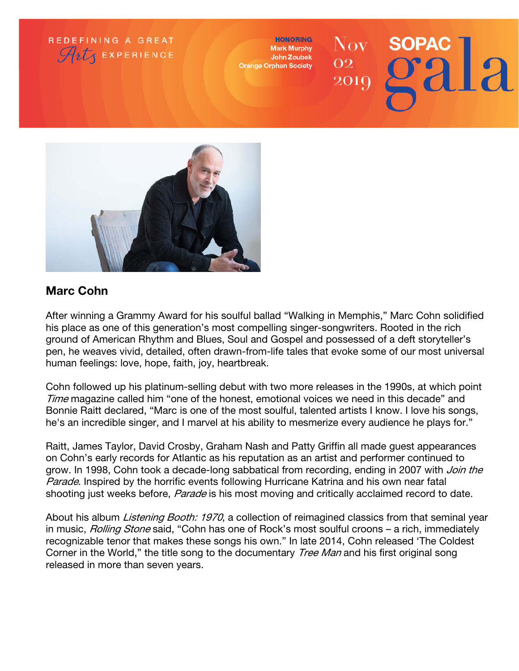

**HONORING Mark Murphy** John Zoubek **Orange Orphan Society** 

## $\rm Nov$  . **SOPAC** 02 **2010**



## Marc Cohn

After winning a Grammy Award for his soulful ballad "Walking in Memphis," Marc Cohn solidified his place as one of this generation's most compelling singer-songwriters. Rooted in the rich ground of American Rhythm and Blues, Soul and Gospel and possessed of a deft storyteller's pen, he weaves vivid, detailed, often drawn-from-life tales that evoke some of our most universal human feelings: love, hope, faith, joy, heartbreak.

Cohn followed up his platinum-selling debut with two more releases in the 1990s, at which point Time magazine called him "one of the honest, emotional voices we need in this decade" and Bonnie Raitt declared, "Marc is one of the most soulful, talented artists I know. I love his songs, he's an incredible singer, and I marvel at his ability to mesmerize every audience he plays for."

Raitt, James Taylor, David Crosby, Graham Nash and Patty Griffin all made guest appearances on Cohn's early records for Atlantic as his reputation as an artist and performer continued to grow. In 1998, Cohn took a decade-long sabbatical from recording, ending in 2007 with Join the Parade. Inspired by the horrific events following Hurricane Katrina and his own near fatal shooting just weeks before, *Parade* is his most moving and critically acclaimed record to date.

About his album *Listening Booth: 1970*, a collection of reimagined classics from that seminal year in music, *Rolling Stone* said, "Cohn has one of Rock's most soulful croons – a rich, immediately recognizable tenor that makes these songs his own." In late 2014, Cohn released 'The Coldest Corner in the World," the title song to the documentary *Tree Man* and his first original song released in more than seven years.